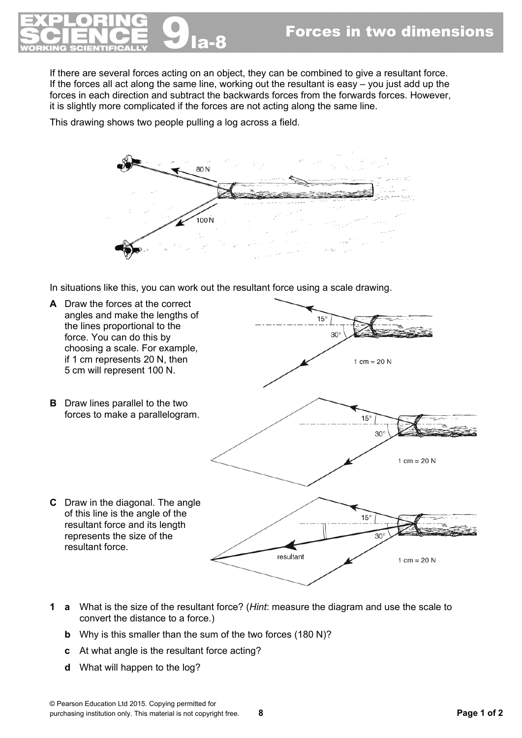

If there are several forces acting on an object, they can be combined to give a resultant force. If the forces all act along the same line, working out the resultant is easy – you just add up the forces in each direction and subtract the backwards forces from the forwards forces. However, it is slightly more complicated if the forces are not acting along the same line.

This drawing shows two people pulling a log across a field.



In situations like this, you can work out the resultant force using a scale drawing.



- **1 a** What is the size of the resultant force? (*Hint*: measure the diagram and use the scale to convert the distance to a force.)
	- **b** Why is this smaller than the sum of the two forces (180 N)?
	- **c** At what angle is the resultant force acting?
	- **d** What will happen to the log?